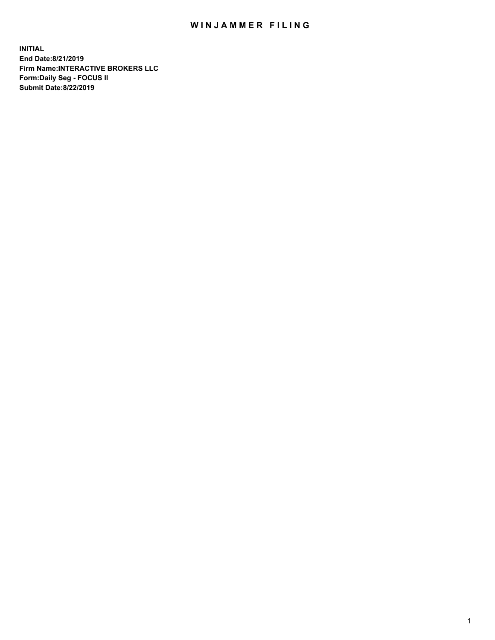## WIN JAMMER FILING

**INITIAL End Date:8/21/2019 Firm Name:INTERACTIVE BROKERS LLC Form:Daily Seg - FOCUS II Submit Date:8/22/2019**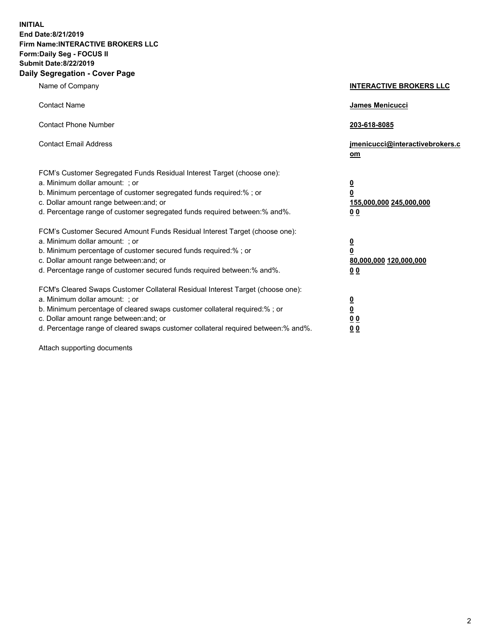**INITIAL End Date:8/21/2019 Firm Name:INTERACTIVE BROKERS LLC Form:Daily Seg - FOCUS II Submit Date:8/22/2019 Daily Segregation - Cover Page**

| Name of Company                                                                                                                                                                                                                                                                                                                | <b>INTERACTIVE BROKERS LLC</b>                                                                  |
|--------------------------------------------------------------------------------------------------------------------------------------------------------------------------------------------------------------------------------------------------------------------------------------------------------------------------------|-------------------------------------------------------------------------------------------------|
| <b>Contact Name</b>                                                                                                                                                                                                                                                                                                            | <b>James Menicucci</b>                                                                          |
| <b>Contact Phone Number</b>                                                                                                                                                                                                                                                                                                    | 203-618-8085                                                                                    |
| <b>Contact Email Address</b>                                                                                                                                                                                                                                                                                                   | jmenicucci@interactivebrokers.c<br><u>om</u>                                                    |
| FCM's Customer Segregated Funds Residual Interest Target (choose one):<br>a. Minimum dollar amount: ; or<br>b. Minimum percentage of customer segregated funds required:% ; or<br>c. Dollar amount range between: and; or<br>d. Percentage range of customer segregated funds required between:% and%.                         | $\overline{\mathbf{0}}$<br>$\overline{\mathbf{0}}$<br>155,000,000 245,000,000<br>0 <sub>0</sub> |
| FCM's Customer Secured Amount Funds Residual Interest Target (choose one):<br>a. Minimum dollar amount: ; or<br>b. Minimum percentage of customer secured funds required:%; or<br>c. Dollar amount range between: and; or<br>d. Percentage range of customer secured funds required between:% and%.                            | $\overline{\mathbf{0}}$<br>$\overline{\mathbf{0}}$<br>80,000,000 120,000,000<br>0 <sub>0</sub>  |
| FCM's Cleared Swaps Customer Collateral Residual Interest Target (choose one):<br>a. Minimum dollar amount: ; or<br>b. Minimum percentage of cleared swaps customer collateral required:% ; or<br>c. Dollar amount range between: and; or<br>d. Percentage range of cleared swaps customer collateral required between:% and%. | $\overline{\mathbf{0}}$<br>$\underline{\mathbf{0}}$<br>0 <sub>0</sub><br>00                     |

Attach supporting documents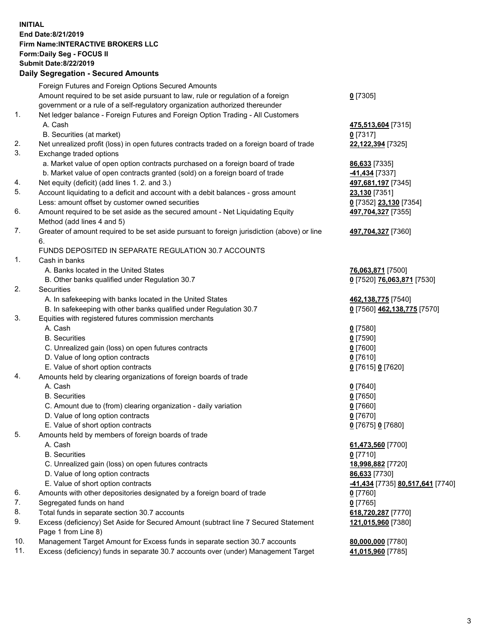## **INITIAL End Date:8/21/2019 Firm Name:INTERACTIVE BROKERS LLC Form:Daily Seg - FOCUS II Submit Date:8/22/2019 Daily Segregation - Secured Amounts**

|                | Daily Ocglegation - Occuled Aniounts                                                              |                                                      |
|----------------|---------------------------------------------------------------------------------------------------|------------------------------------------------------|
|                | Foreign Futures and Foreign Options Secured Amounts                                               |                                                      |
|                | Amount required to be set aside pursuant to law, rule or regulation of a foreign                  | $0$ [7305]                                           |
|                | government or a rule of a self-regulatory organization authorized thereunder                      |                                                      |
| $\mathbf{1}$ . | Net ledger balance - Foreign Futures and Foreign Option Trading - All Customers                   |                                                      |
|                | A. Cash                                                                                           | 475,513,604 [7315]                                   |
|                | B. Securities (at market)                                                                         | $0$ [7317]                                           |
| 2.             | Net unrealized profit (loss) in open futures contracts traded on a foreign board of trade         | 22,122,394 [7325]                                    |
| 3.             | Exchange traded options                                                                           |                                                      |
|                | a. Market value of open option contracts purchased on a foreign board of trade                    | 86,633 [7335]                                        |
|                | b. Market value of open contracts granted (sold) on a foreign board of trade                      | -41,434 [7337]                                       |
| 4.             | Net equity (deficit) (add lines 1.2. and 3.)                                                      | 497,681,197 [7345]                                   |
| 5.             | Account liquidating to a deficit and account with a debit balances - gross amount                 | 23,130 [7351]                                        |
|                | Less: amount offset by customer owned securities                                                  | 0 [7352] 23,130 [7354]                               |
| 6.             | Amount required to be set aside as the secured amount - Net Liquidating Equity                    | 497,704,327 [7355]                                   |
|                | Method (add lines 4 and 5)                                                                        |                                                      |
| 7.             | Greater of amount required to be set aside pursuant to foreign jurisdiction (above) or line<br>6. | 497,704,327 [7360]                                   |
|                | FUNDS DEPOSITED IN SEPARATE REGULATION 30.7 ACCOUNTS                                              |                                                      |
| $\mathbf{1}$ . | Cash in banks                                                                                     |                                                      |
|                | A. Banks located in the United States                                                             | 76,063,871 [7500]                                    |
|                | B. Other banks qualified under Regulation 30.7                                                    | 0 [7520] 76,063,871 [7530]                           |
| 2.             | Securities                                                                                        |                                                      |
|                | A. In safekeeping with banks located in the United States                                         | 462,138,775 [7540]                                   |
|                | B. In safekeeping with other banks qualified under Regulation 30.7                                | 0 [7560] 462,138,775 [7570]                          |
| 3.             | Equities with registered futures commission merchants                                             |                                                      |
|                | A. Cash                                                                                           | $0$ [7580]                                           |
|                | <b>B.</b> Securities                                                                              | $0$ [7590]                                           |
|                | C. Unrealized gain (loss) on open futures contracts                                               | $0$ [7600]                                           |
|                | D. Value of long option contracts                                                                 | $0$ [7610]                                           |
|                | E. Value of short option contracts                                                                | 0 [7615] 0 [7620]                                    |
| 4.             | Amounts held by clearing organizations of foreign boards of trade                                 |                                                      |
|                | A. Cash                                                                                           | $0$ [7640]                                           |
|                | <b>B.</b> Securities                                                                              | $0$ [7650]                                           |
|                | C. Amount due to (from) clearing organization - daily variation                                   | $0$ [7660]                                           |
|                | D. Value of long option contracts                                                                 | $0$ [7670]                                           |
|                | E. Value of short option contracts                                                                | 0 [7675] 0 [7680]                                    |
| 5.             | Amounts held by members of foreign boards of trade                                                |                                                      |
|                | A. Cash                                                                                           | 61,473,560 [7700]                                    |
|                | <b>B.</b> Securities                                                                              | $0$ [7710]                                           |
|                | C. Unrealized gain (loss) on open futures contracts                                               | 18,998,882 [7720]                                    |
|                | D. Value of long option contracts                                                                 | 86,633 [7730]                                        |
|                | E. Value of short option contracts                                                                | <mark>-41,434</mark> [7735] <u>80,517,641</u> [7740] |
| 6.             | Amounts with other depositories designated by a foreign board of trade                            | 0 [7760]                                             |
| 7.             | Segregated funds on hand                                                                          | $0$ [7765]                                           |
| 8.             | Total funds in separate section 30.7 accounts                                                     | 618,720,287 [7770]                                   |
| 9.             | Excess (deficiency) Set Aside for Secured Amount (subtract line 7 Secured Statement               | 121,015,960 [7380]                                   |
|                | Page 1 from Line 8)                                                                               |                                                      |
| 10.            | Management Target Amount for Excess funds in separate section 30.7 accounts                       | 80,000,000 [7780]                                    |
| 11.            | Excess (deficiency) funds in separate 30.7 accounts over (under) Management Target                | 41,015,960 [7785]                                    |
|                |                                                                                                   |                                                      |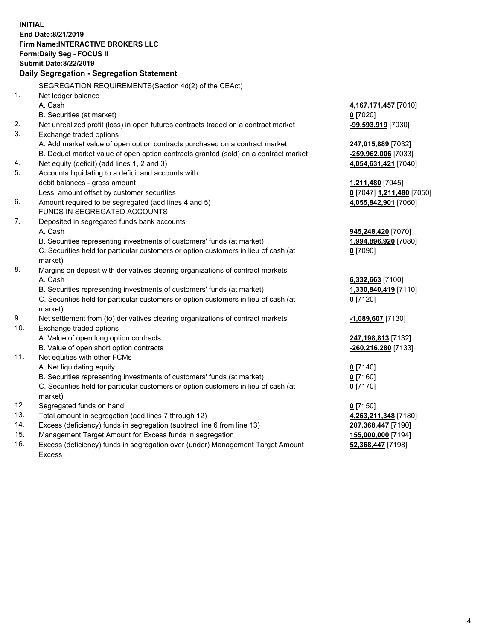**INITIAL End Date:8/21/2019 Firm Name:INTERACTIVE BROKERS LLC Form:Daily Seg - FOCUS II Submit Date:8/22/2019 Daily Segregation - Segregation Statement** SEGREGATION REQUIREMENTS(Section 4d(2) of the CEAct) 1. Net ledger balance A. Cash **4,167,171,457** [7010] B. Securities (at market) **0** [7020] 2. Net unrealized profit (loss) in open futures contracts traded on a contract market **-99,593,919** [7030] 3. Exchange traded options A. Add market value of open option contracts purchased on a contract market **247,015,889** [7032] B. Deduct market value of open option contracts granted (sold) on a contract market **-259,962,006** [7033] 4. Net equity (deficit) (add lines 1, 2 and 3) **4,054,631,421** [7040] 5. Accounts liquidating to a deficit and accounts with debit balances - gross amount **1,211,480** [7045] Less: amount offset by customer securities **0** [7047] **1,211,480** [7050] 6. Amount required to be segregated (add lines 4 and 5) **4,055,842,901** [7060] FUNDS IN SEGREGATED ACCOUNTS 7. Deposited in segregated funds bank accounts A. Cash **945,248,420** [7070] B. Securities representing investments of customers' funds (at market) **1,994,896,920** [7080] C. Securities held for particular customers or option customers in lieu of cash (at market) **0** [7090] 8. Margins on deposit with derivatives clearing organizations of contract markets A. Cash **6,332,663** [7100] B. Securities representing investments of customers' funds (at market) **1,330,840,419** [7110] C. Securities held for particular customers or option customers in lieu of cash (at market) **0** [7120] 9. Net settlement from (to) derivatives clearing organizations of contract markets **-1,089,607** [7130] 10. Exchange traded options A. Value of open long option contracts **247,198,813** [7132] B. Value of open short option contracts **-260,216,280** [7133] 11. Net equities with other FCMs A. Net liquidating equity **0** [7140] B. Securities representing investments of customers' funds (at market) **0** [7160] C. Securities held for particular customers or option customers in lieu of cash (at market) **0** [7170] 12. Segregated funds on hand **0** [7150] 13. Total amount in segregation (add lines 7 through 12) **4,263,211,348** [7180] 14. Excess (deficiency) funds in segregation (subtract line 6 from line 13) **207,368,447** [7190] 15. Management Target Amount for Excess funds in segregation **155,000,000** [7194]

16. Excess (deficiency) funds in segregation over (under) Management Target Amount Excess

**52,368,447** [7198]